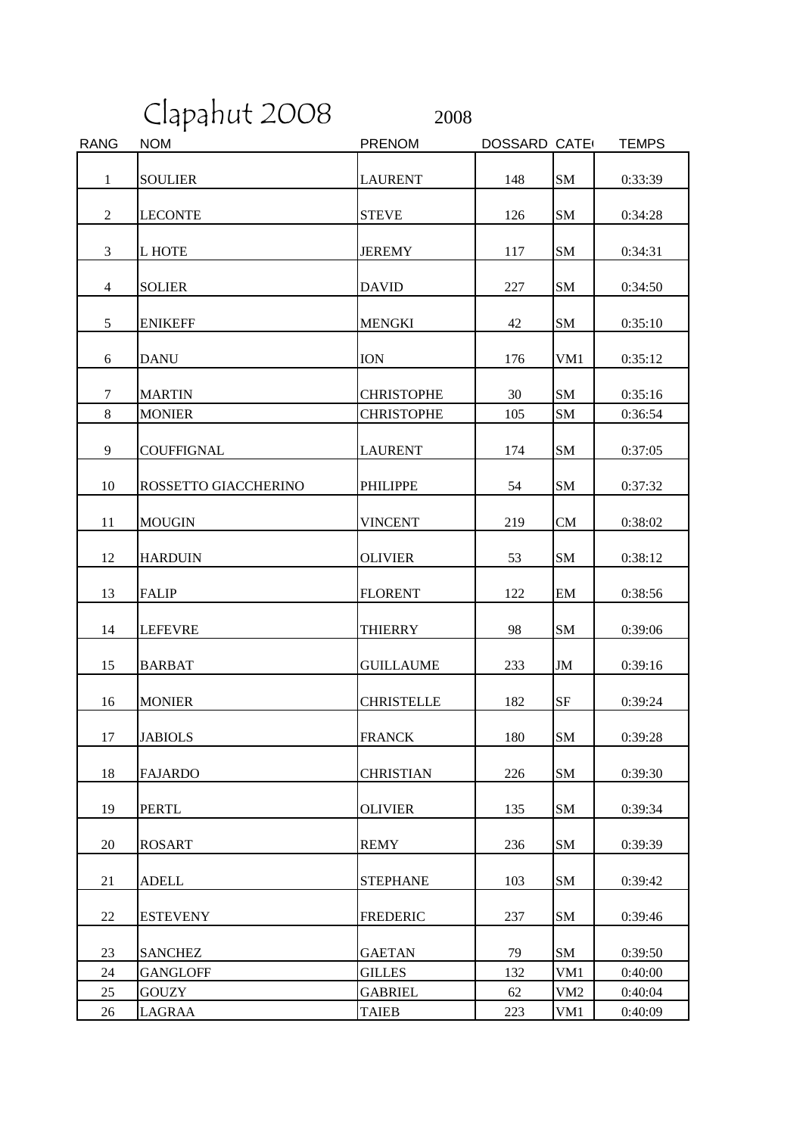Clapahut 2008 2008

| <b>RANG</b>    | <b>NOM</b>           | <b>PRENOM</b>     | <b>DOSSARD CATE</b> |               | <b>TEMPS</b> |
|----------------|----------------------|-------------------|---------------------|---------------|--------------|
| $\mathbf{1}$   | <b>SOULIER</b>       | <b>LAURENT</b>    | 148                 | <b>SM</b>     | 0:33:39      |
| $\overline{2}$ | <b>LECONTE</b>       | <b>STEVE</b>      | 126                 | SM            | 0:34:28      |
| 3              | L HOTE               | <b>JEREMY</b>     | 117                 | SM            | 0:34:31      |
| 4              | <b>SOLIER</b>        | <b>DAVID</b>      | 227                 | SM            | 0:34:50      |
| 5              | <b>ENIKEFF</b>       | <b>MENGKI</b>     | 42                  | SM            | 0:35:10      |
| 6              | <b>DANU</b>          | <b>ION</b>        | 176                 | VM1           | 0:35:12      |
| $\tau$         | <b>MARTIN</b>        | <b>CHRISTOPHE</b> | 30                  | SM            | 0:35:16      |
| 8              | <b>MONIER</b>        | <b>CHRISTOPHE</b> | 105                 | <b>SM</b>     | 0:36:54      |
| 9              | <b>COUFFIGNAL</b>    | <b>LAURENT</b>    | 174                 | SM            | 0:37:05      |
| 10             | ROSSETTO GIACCHERINO | <b>PHILIPPE</b>   | 54                  | SM            | 0:37:32      |
| 11             | <b>MOUGIN</b>        | <b>VINCENT</b>    | 219                 | CM            | 0:38:02      |
| 12             | <b>HARDUIN</b>       | <b>OLIVIER</b>    | 53                  | SM            | 0:38:12      |
| 13             | <b>FALIP</b>         | <b>FLORENT</b>    | 122                 | EM            | 0:38:56      |
| 14             | <b>LEFEVRE</b>       | <b>THIERRY</b>    | 98                  | <b>SM</b>     | 0:39:06      |
| 15             | <b>BARBAT</b>        | <b>GUILLAUME</b>  | 233                 | $\mathbf{JM}$ | 0:39:16      |
| 16             | <b>MONIER</b>        | <b>CHRISTELLE</b> | 182                 | SF            | 0:39:24      |
| 17             | <b>JABIOLS</b>       | <b>FRANCK</b>     | 180                 | <b>SM</b>     | 0:39:28      |
| 18             | <b>FAJARDO</b>       | <b>CHRISTIAN</b>  | 226                 | <b>SM</b>     | 0:39:30      |
| 19             | <b>PERTL</b>         | <b>OLIVIER</b>    | 135                 | SM            | 0:39:34      |
| 20             | <b>ROSART</b>        | <b>REMY</b>       | 236                 | SM            | 0:39:39      |
| 21             | <b>ADELL</b>         | <b>STEPHANE</b>   | 103                 | SM            | 0:39:42      |
| 22             | <b>ESTEVENY</b>      | <b>FREDERIC</b>   | 237                 | SM            | 0:39:46      |
| 23             | <b>SANCHEZ</b>       | <b>GAETAN</b>     | 79                  | SM            | 0:39:50      |
| 24             | <b>GANGLOFF</b>      | <b>GILLES</b>     | 132                 | VM1           | 0:40:00      |
| 25             | <b>GOUZY</b>         | <b>GABRIEL</b>    | 62                  | VM2           | 0:40:04      |
| 26             | LAGRAA               | <b>TAIEB</b>      | 223                 | VM1           | 0:40:09      |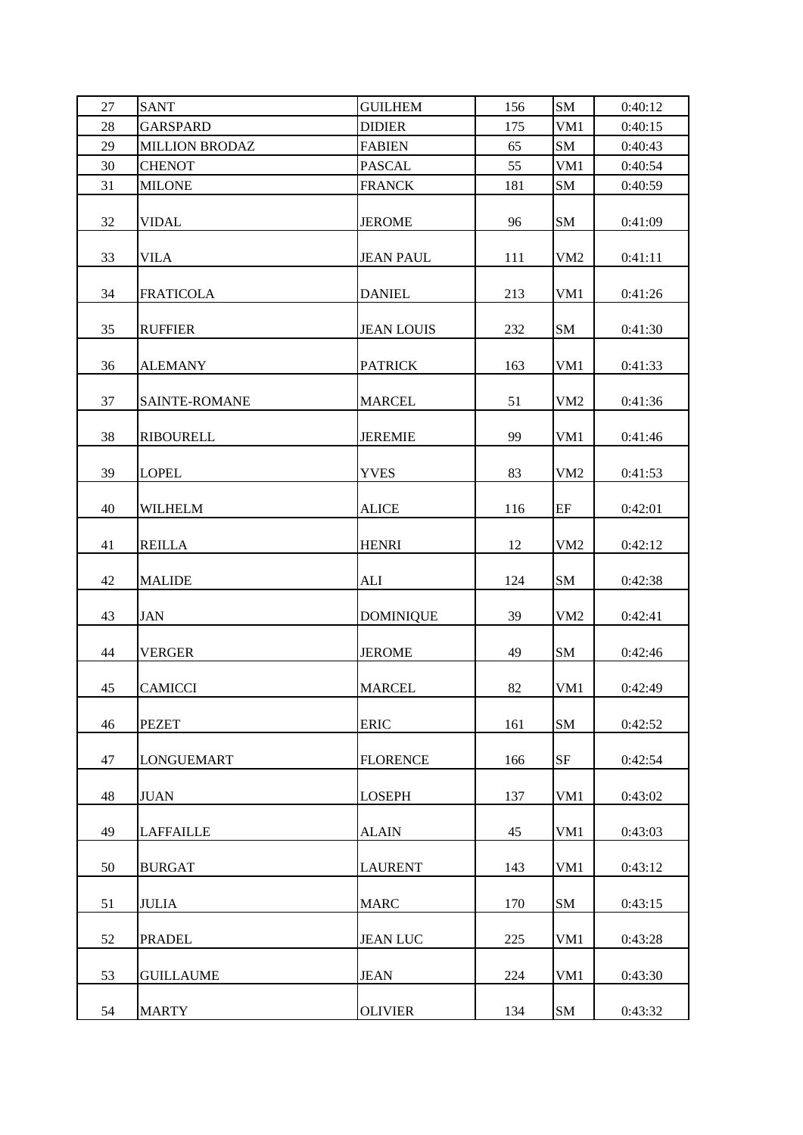| 27 | <b>SANT</b>           | <b>GUILHEM</b>    | 156     | <b>SM</b>       | 0:40:12 |
|----|-----------------------|-------------------|---------|-----------------|---------|
| 28 | <b>GARSPARD</b>       | <b>DIDIER</b>     | 175     | VM1             | 0:40:15 |
| 29 | <b>MILLION BRODAZ</b> | <b>FABIEN</b>     | 65      | <b>SM</b>       | 0:40:43 |
| 30 | <b>CHENOT</b>         | <b>PASCAL</b>     | 55      | VM1             | 0:40:54 |
| 31 | <b>MILONE</b>         | <b>FRANCK</b>     | 181     | SM              | 0:40:59 |
| 32 | <b>VIDAL</b>          | <b>JEROME</b>     | 96      | SM              | 0:41:09 |
| 33 | <b>VILA</b>           | <b>JEAN PAUL</b>  | 111     | VM <sub>2</sub> | 0:41:11 |
| 34 | <b>FRATICOLA</b>      | <b>DANIEL</b>     | 213     | VM1             | 0:41:26 |
| 35 | <b>RUFFIER</b>        | <b>JEAN LOUIS</b> | $232\,$ | ${\bf SM}$      | 0:41:30 |
| 36 | <b>ALEMANY</b>        | <b>PATRICK</b>    | 163     | VM1             | 0:41:33 |
| 37 | SAINTE-ROMANE         | <b>MARCEL</b>     | 51      | VM <sub>2</sub> | 0:41:36 |
| 38 | <b>RIBOURELL</b>      | <b>JEREMIE</b>    | 99      | VM1             | 0:41:46 |
| 39 | <b>LOPEL</b>          | <b>YVES</b>       | 83      | VM <sub>2</sub> | 0:41:53 |
| 40 | WILHELM               | <b>ALICE</b>      | 116     | EF              | 0:42:01 |
| 41 | <b>REILLA</b>         | <b>HENRI</b>      | 12      | VM <sub>2</sub> | 0:42:12 |
| 42 | <b>MALIDE</b>         | <b>ALI</b>        | 124     | SM              | 0:42:38 |
| 43 | <b>JAN</b>            | <b>DOMINIQUE</b>  | 39      | VM <sub>2</sub> | 0:42:41 |
| 44 | <b>VERGER</b>         | <b>JEROME</b>     | 49      | ${\bf SM}$      | 0:42:46 |
| 45 | <b>CAMICCI</b>        | <b>MARCEL</b>     | 82      | VM1             | 0:42:49 |
| 46 | <b>PEZET</b>          | <b>ERIC</b>       | 161     | <b>SM</b>       | 0:42:52 |
| 47 | LONGUEMART            | <b>FLORENCE</b>   | 166     | SF              | 0:42:54 |
| 48 | <b>JUAN</b>           | <b>LOSEPH</b>     | 137     | VM1             | 0:43:02 |
| 49 | <b>LAFFAILLE</b>      | <b>ALAIN</b>      | 45      | VM1             | 0:43:03 |
| 50 | <b>BURGAT</b>         | <b>LAURENT</b>    | 143     | VM1             | 0:43:12 |
| 51 | <b>JULIA</b>          | <b>MARC</b>       | 170     | ${\bf SM}$      | 0:43:15 |
| 52 | PRADEL                | <b>JEAN LUC</b>   | 225     | VM1             | 0:43:28 |
| 53 | <b>GUILLAUME</b>      | <b>JEAN</b>       | 224     | VM1             | 0:43:30 |
| 54 | <b>MARTY</b>          | <b>OLIVIER</b>    | 134     | ${\bf SM}$      | 0:43:32 |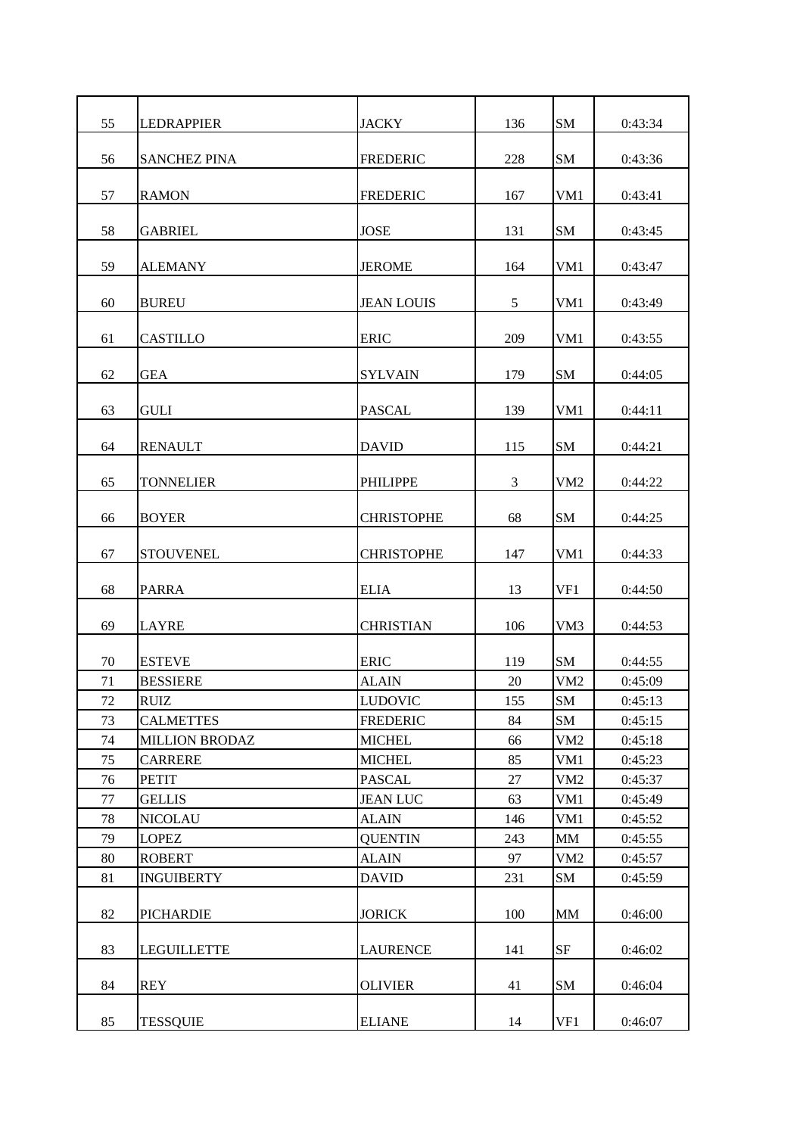| 55     | <b>LEDRAPPIER</b>     | <b>JACKY</b>      | 136 | <b>SM</b>       | 0:43:34 |
|--------|-----------------------|-------------------|-----|-----------------|---------|
| 56     | <b>SANCHEZ PINA</b>   | <b>FREDERIC</b>   | 228 | <b>SM</b>       | 0:43:36 |
| 57     | <b>RAMON</b>          | <b>FREDERIC</b>   | 167 | VM1             | 0:43:41 |
| 58     | <b>GABRIEL</b>        | <b>JOSE</b>       | 131 | <b>SM</b>       | 0:43:45 |
| 59     | <b>ALEMANY</b>        | <b>JEROME</b>     | 164 | VM1             | 0:43:47 |
| 60     | <b>BUREU</b>          | <b>JEAN LOUIS</b> | 5   | VM1             | 0:43:49 |
| 61     | <b>CASTILLO</b>       | <b>ERIC</b>       | 209 | VM1             | 0:43:55 |
| 62     | <b>GEA</b>            | <b>SYLVAIN</b>    | 179 | <b>SM</b>       | 0:44:05 |
| 63     | <b>GULI</b>           | <b>PASCAL</b>     | 139 | VM1             | 0:44:11 |
| 64     | <b>RENAULT</b>        | <b>DAVID</b>      | 115 | <b>SM</b>       | 0:44:21 |
| 65     | <b>TONNELIER</b>      | <b>PHILIPPE</b>   | 3   | VM <sub>2</sub> | 0:44:22 |
| 66     | <b>BOYER</b>          | <b>CHRISTOPHE</b> | 68  | <b>SM</b>       | 0:44:25 |
| 67     | <b>STOUVENEL</b>      | <b>CHRISTOPHE</b> | 147 | VM1             | 0:44:33 |
| 68     | <b>PARRA</b>          | <b>ELIA</b>       | 13  | VF1             | 0:44:50 |
| 69     | <b>LAYRE</b>          | <b>CHRISTIAN</b>  | 106 | VM3             | 0:44:53 |
| 70     | <b>ESTEVE</b>         | <b>ERIC</b>       | 119 | <b>SM</b>       | 0:44:55 |
| 71     | <b>BESSIERE</b>       | <b>ALAIN</b>      | 20  | VM2             | 0:45:09 |
| $72\,$ | RUIZ                  | <b>LUDOVIC</b>    | 155 | SM              | 0:45:13 |
| 73     | <b>CALMETTES</b>      | <b>FREDERIC</b>   | 84  | SM              | 0:45:15 |
| 74     | <b>MILLION BRODAZ</b> | <b>MICHEL</b>     | 66  | VM <sub>2</sub> | 0:45:18 |
| 75     | <b>CARRERE</b>        | <b>MICHEL</b>     | 85  | VM1             | 0:45:23 |
| 76     | <b>PETIT</b>          | <b>PASCAL</b>     | 27  | VM <sub>2</sub> | 0:45:37 |
| 77     | <b>GELLIS</b>         | <b>JEAN LUC</b>   | 63  | VM1             | 0:45:49 |
| 78     | <b>NICOLAU</b>        | <b>ALAIN</b>      | 146 | VM1             | 0:45:52 |
| 79     | <b>LOPEZ</b>          | <b>QUENTIN</b>    | 243 | $\text{MM}{}$   | 0:45:55 |
| $80\,$ | <b>ROBERT</b>         | <b>ALAIN</b>      | 97  | VM <sub>2</sub> | 0:45:57 |
| 81     | <b>INGUIBERTY</b>     | <b>DAVID</b>      | 231 | SM              | 0:45:59 |
| 82     | <b>PICHARDIE</b>      | <b>JORICK</b>     | 100 | MM              | 0:46:00 |
| 83     | <b>LEGUILLETTE</b>    | <b>LAURENCE</b>   | 141 | SF              | 0:46:02 |
| 84     | <b>REY</b>            | <b>OLIVIER</b>    | 41  | ${\bf SM}$      | 0:46:04 |
| 85     | <b>TESSQUIE</b>       | <b>ELIANE</b>     | 14  | VF1             | 0:46:07 |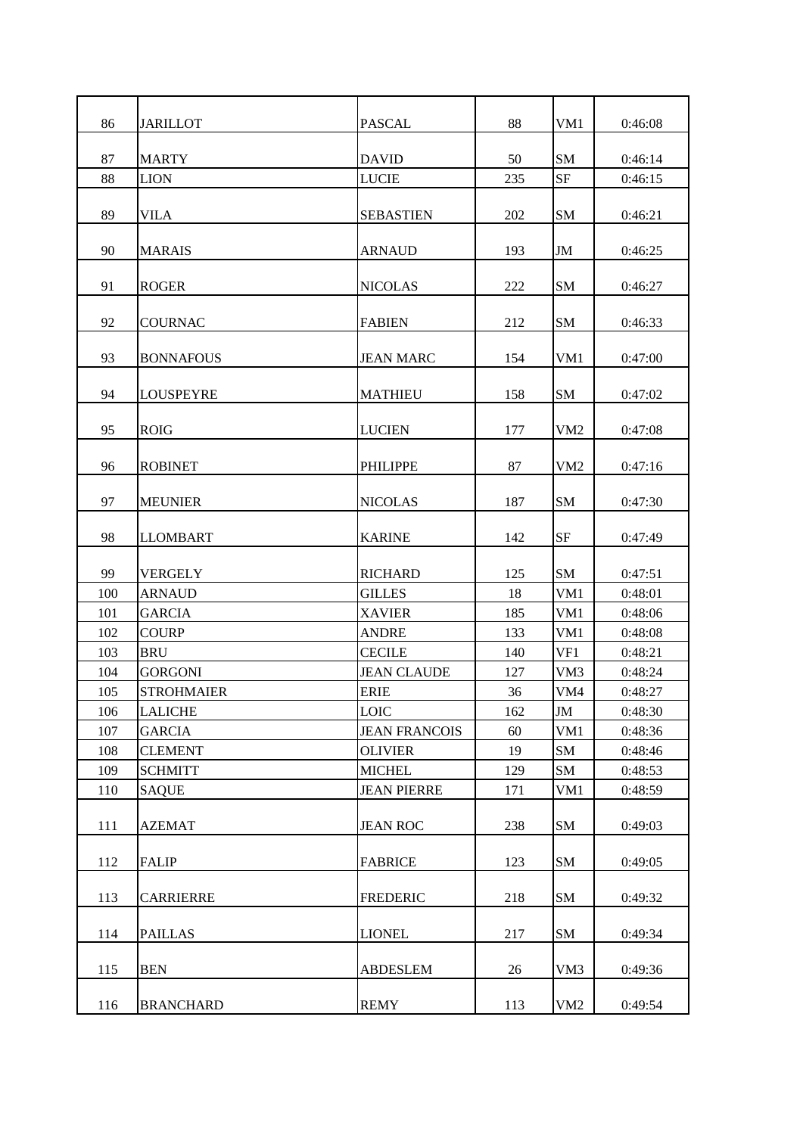| 86  | <b>JARILLOT</b>   | <b>PASCAL</b>        | 88  | VM1             | 0:46:08 |
|-----|-------------------|----------------------|-----|-----------------|---------|
| 87  | <b>MARTY</b>      | <b>DAVID</b>         | 50  | SM              | 0:46:14 |
| 88  | <b>LION</b>       | <b>LUCIE</b>         | 235 | <b>SF</b>       | 0:46:15 |
| 89  | <b>VILA</b>       | <b>SEBASTIEN</b>     | 202 | SM              | 0:46:21 |
| 90  | <b>MARAIS</b>     | <b>ARNAUD</b>        | 193 | JM              | 0:46:25 |
| 91  | <b>ROGER</b>      | <b>NICOLAS</b>       | 222 | SM              | 0:46:27 |
| 92  | <b>COURNAC</b>    | <b>FABIEN</b>        | 212 | SM              | 0:46:33 |
| 93  | <b>BONNAFOUS</b>  | <b>JEAN MARC</b>     | 154 | VM1             | 0:47:00 |
| 94  | <b>LOUSPEYRE</b>  | <b>MATHIEU</b>       | 158 | SM              | 0:47:02 |
| 95  | <b>ROIG</b>       | <b>LUCIEN</b>        | 177 | VM <sub>2</sub> | 0:47:08 |
| 96  | <b>ROBINET</b>    | <b>PHILIPPE</b>      | 87  | VM <sub>2</sub> | 0:47:16 |
| 97  | <b>MEUNIER</b>    | NICOLAS              | 187 | SM              | 0:47:30 |
| 98  | <b>LLOMBART</b>   | <b>KARINE</b>        | 142 | <b>SF</b>       | 0:47:49 |
| 99  | <b>VERGELY</b>    | <b>RICHARD</b>       | 125 | <b>SM</b>       | 0:47:51 |
| 100 | <b>ARNAUD</b>     | <b>GILLES</b>        | 18  | VM1             | 0:48:01 |
| 101 | <b>GARCIA</b>     | <b>XAVIER</b>        | 185 | VM1             | 0:48:06 |
| 102 | <b>COURP</b>      | <b>ANDRE</b>         | 133 | VM1             | 0:48:08 |
| 103 | <b>BRU</b>        | <b>CECILE</b>        | 140 | VF1             | 0:48:21 |
| 104 | <b>GORGONI</b>    | <b>JEAN CLAUDE</b>   | 127 | VM <sub>3</sub> | 0:48:24 |
| 105 | <b>STROHMAIER</b> | <b>ERIE</b>          | 36  | VM4             | 0:48:27 |
| 106 | <b>LALICHE</b>    | <b>LOIC</b>          | 162 | $\mathbf{JM}$   | 0:48:30 |
| 107 | <b>GARCIA</b>     | <b>JEAN FRANCOIS</b> | 60  | VM1             | 0:48:36 |
| 108 | <b>CLEMENT</b>    | <b>OLIVIER</b>       | 19  | SM              | 0:48:46 |
| 109 | <b>SCHMITT</b>    | <b>MICHEL</b>        | 129 | SM              | 0:48:53 |
| 110 | <b>SAQUE</b>      | <b>JEAN PIERRE</b>   | 171 | VM1             | 0:48:59 |
| 111 | <b>AZEMAT</b>     | <b>JEAN ROC</b>      | 238 | SM              | 0:49:03 |
| 112 | <b>FALIP</b>      | <b>FABRICE</b>       | 123 | SM              | 0:49:05 |
| 113 | <b>CARRIERRE</b>  | <b>FREDERIC</b>      | 218 | SM              | 0:49:32 |
| 114 | <b>PAILLAS</b>    | <b>LIONEL</b>        | 217 | SM              | 0:49:34 |
| 115 | <b>BEN</b>        | <b>ABDESLEM</b>      | 26  | VM3             | 0:49:36 |
| 116 | <b>BRANCHARD</b>  | <b>REMY</b>          | 113 | VM <sub>2</sub> | 0:49:54 |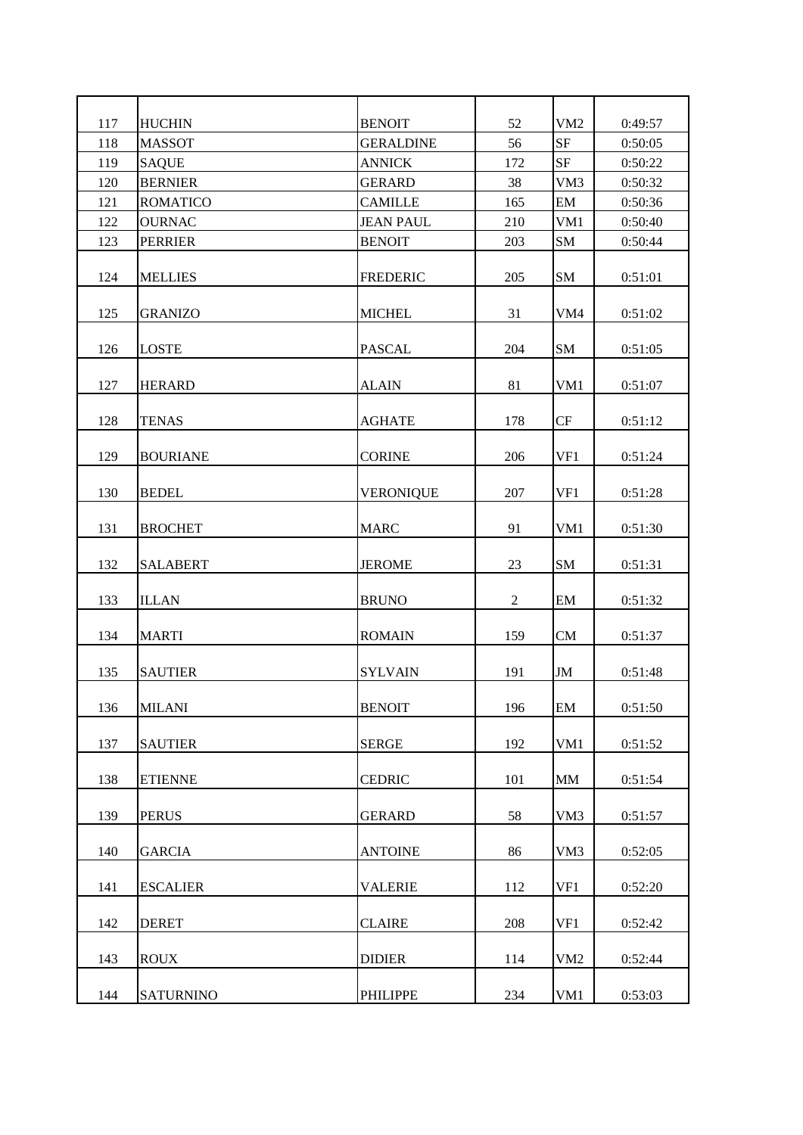| 117 | <b>HUCHIN</b>    | <b>BENOIT</b>    | 52               | VM <sub>2</sub> | 0:49:57 |
|-----|------------------|------------------|------------------|-----------------|---------|
| 118 | <b>MASSOT</b>    | <b>GERALDINE</b> | 56               | <b>SF</b>       | 0:50:05 |
| 119 | <b>SAQUE</b>     | <b>ANNICK</b>    | 172              | <b>SF</b>       | 0:50:22 |
| 120 | <b>BERNIER</b>   | <b>GERARD</b>    | 38               | VM3             | 0:50:32 |
| 121 | <b>ROMATICO</b>  | <b>CAMILLE</b>   | 165              | EM              | 0:50:36 |
| 122 | <b>OURNAC</b>    | <b>JEAN PAUL</b> | 210              | VM1             | 0:50:40 |
| 123 | <b>PERRIER</b>   | <b>BENOIT</b>    | 203              | <b>SM</b>       | 0:50:44 |
| 124 | <b>MELLIES</b>   | <b>FREDERIC</b>  | 205              | <b>SM</b>       | 0:51:01 |
| 125 | <b>GRANIZO</b>   | <b>MICHEL</b>    | 31               | VM <sub>4</sub> | 0:51:02 |
| 126 | <b>LOSTE</b>     | <b>PASCAL</b>    | 204              | <b>SM</b>       | 0:51:05 |
| 127 | <b>HERARD</b>    | <b>ALAIN</b>     | 81               | VM1             | 0:51:07 |
| 128 | <b>TENAS</b>     | <b>AGHATE</b>    | 178              | CF              | 0:51:12 |
| 129 | <b>BOURIANE</b>  | <b>CORINE</b>    | 206              | VF1             | 0:51:24 |
| 130 | <b>BEDEL</b>     | <b>VERONIQUE</b> | 207              | VF1             | 0:51:28 |
| 131 | <b>BROCHET</b>   | <b>MARC</b>      | 91               | VM1             | 0:51:30 |
| 132 | <b>SALABERT</b>  | <b>JEROME</b>    | 23               | <b>SM</b>       | 0:51:31 |
| 133 | <b>ILLAN</b>     | <b>BRUNO</b>     | $\boldsymbol{2}$ | EM              | 0:51:32 |
| 134 | <b>MARTI</b>     | <b>ROMAIN</b>    | 159              | <b>CM</b>       | 0:51:37 |
| 135 | <b>SAUTIER</b>   | <b>SYLVAIN</b>   | 191              | JM              | 0:51:48 |
| 136 | <b>MILANI</b>    | <b>BENOIT</b>    | 196              | EM              | 0:51:50 |
| 137 | <b>SAUTIER</b>   | <b>SERGE</b>     | 192              | VM1             | 0:51:52 |
| 138 | <b>ETIENNE</b>   | <b>CEDRIC</b>    | 101              | MM              | 0:51:54 |
| 139 | <b>PERUS</b>     | <b>GERARD</b>    | 58               | VM3             | 0:51:57 |
| 140 | <b>GARCIA</b>    | <b>ANTOINE</b>   | 86               | VM3             | 0:52:05 |
| 141 | <b>ESCALIER</b>  | <b>VALERIE</b>   | 112              | VF1             | 0:52:20 |
| 142 | <b>DERET</b>     | <b>CLAIRE</b>    | 208              | VF1             | 0:52:42 |
| 143 | <b>ROUX</b>      | <b>DIDIER</b>    | 114              | VM <sub>2</sub> | 0:52:44 |
| 144 | <b>SATURNINO</b> | <b>PHILIPPE</b>  | 234              | VM1             | 0:53:03 |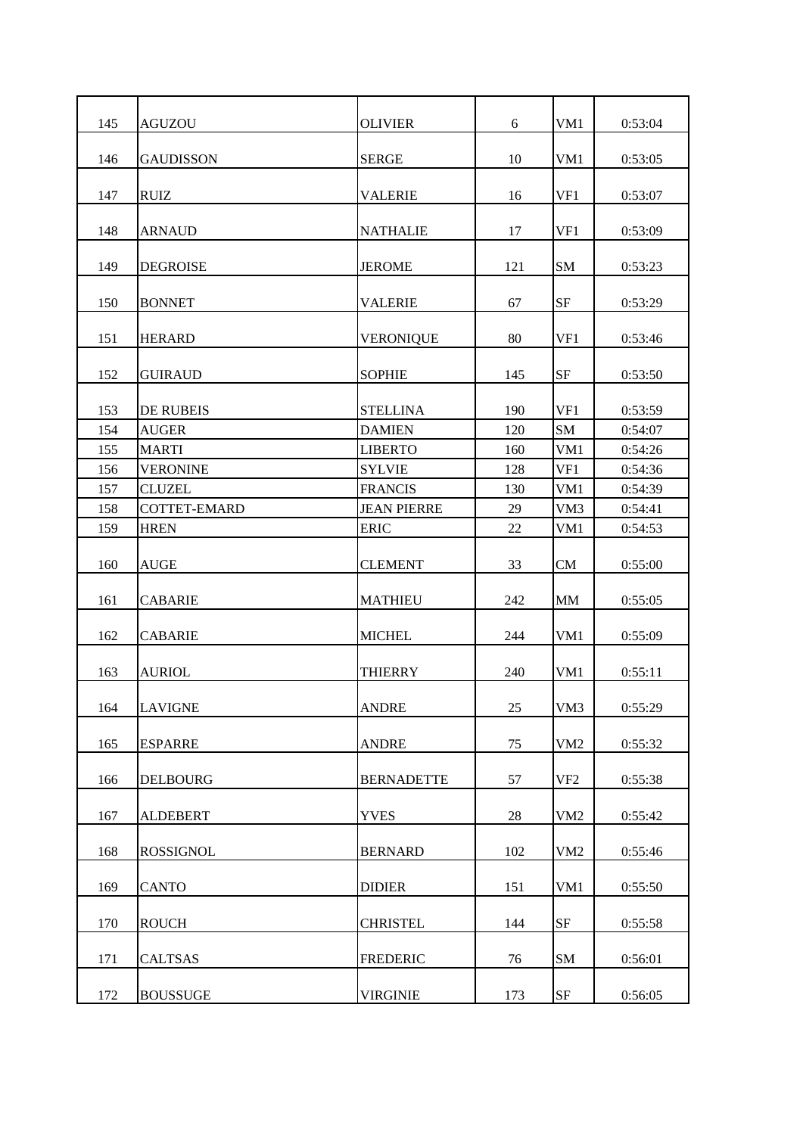| 145 | <b>AGUZOU</b>    | <b>OLIVIER</b>     | 6      | VM1             | 0:53:04 |
|-----|------------------|--------------------|--------|-----------------|---------|
| 146 | <b>GAUDISSON</b> | <b>SERGE</b>       | 10     | VM1             | 0:53:05 |
| 147 | <b>RUIZ</b>      | <b>VALERIE</b>     | 16     | VF1             | 0:53:07 |
| 148 | <b>ARNAUD</b>    | <b>NATHALIE</b>    | 17     | VF1             | 0:53:09 |
| 149 | <b>DEGROISE</b>  | <b>JEROME</b>      | 121    | <b>SM</b>       | 0:53:23 |
| 150 | <b>BONNET</b>    | <b>VALERIE</b>     | 67     | <b>SF</b>       | 0:53:29 |
| 151 | <b>HERARD</b>    | <b>VERONIQUE</b>   | 80     | VF1             | 0:53:46 |
| 152 | <b>GUIRAUD</b>   | <b>SOPHIE</b>      | 145    | <b>SF</b>       | 0:53:50 |
| 153 | DE RUBEIS        | <b>STELLINA</b>    | 190    | VF1             | 0:53:59 |
| 154 | <b>AUGER</b>     | <b>DAMIEN</b>      | 120    | <b>SM</b>       | 0:54:07 |
| 155 | <b>MARTI</b>     | <b>LIBERTO</b>     | 160    | VM1             | 0:54:26 |
| 156 | <b>VERONINE</b>  | <b>SYLVIE</b>      | 128    | VF1             | 0:54:36 |
| 157 | <b>CLUZEL</b>    | <b>FRANCIS</b>     | 130    | VM1             | 0:54:39 |
| 158 | COTTET-EMARD     | <b>JEAN PIERRE</b> | 29     | VM3             | 0:54:41 |
| 159 | <b>HREN</b>      | <b>ERIC</b>        | 22     | VM1             | 0:54:53 |
|     |                  |                    |        |                 |         |
| 160 | <b>AUGE</b>      | <b>CLEMENT</b>     | 33     | <b>CM</b>       | 0:55:00 |
| 161 | <b>CABARIE</b>   | <b>MATHIEU</b>     | 242    | <b>MM</b>       | 0:55:05 |
| 162 | <b>CABARIE</b>   | <b>MICHEL</b>      | 244    | VM1             | 0:55:09 |
| 163 | AURIOL           | THIERRY            | 240    | VM1             | 0:55:11 |
| 164 | <b>LAVIGNE</b>   | <b>ANDRE</b>       | 25     | VM3             | 0:55:29 |
| 165 | <b>ESPARRE</b>   | <b>ANDRE</b>       | 75     | VM <sub>2</sub> | 0:55:32 |
| 166 | <b>DELBOURG</b>  | <b>BERNADETTE</b>  | 57     | VF <sub>2</sub> | 0:55:38 |
| 167 | <b>ALDEBERT</b>  | <b>YVES</b>        | $28\,$ | VM2             | 0:55:42 |
| 168 | <b>ROSSIGNOL</b> | <b>BERNARD</b>     | 102    | VM <sub>2</sub> | 0:55:46 |
| 169 | <b>CANTO</b>     | <b>DIDIER</b>      | 151    | VM1             | 0:55:50 |
| 170 | <b>ROUCH</b>     | <b>CHRISTEL</b>    | 144    | $\rm{SF}$       | 0:55:58 |
| 171 | <b>CALTSAS</b>   | <b>FREDERIC</b>    | 76     | <b>SM</b>       | 0:56:01 |
| 172 | <b>BOUSSUGE</b>  | <b>VIRGINIE</b>    | 173    | $\rm SF$        | 0:56:05 |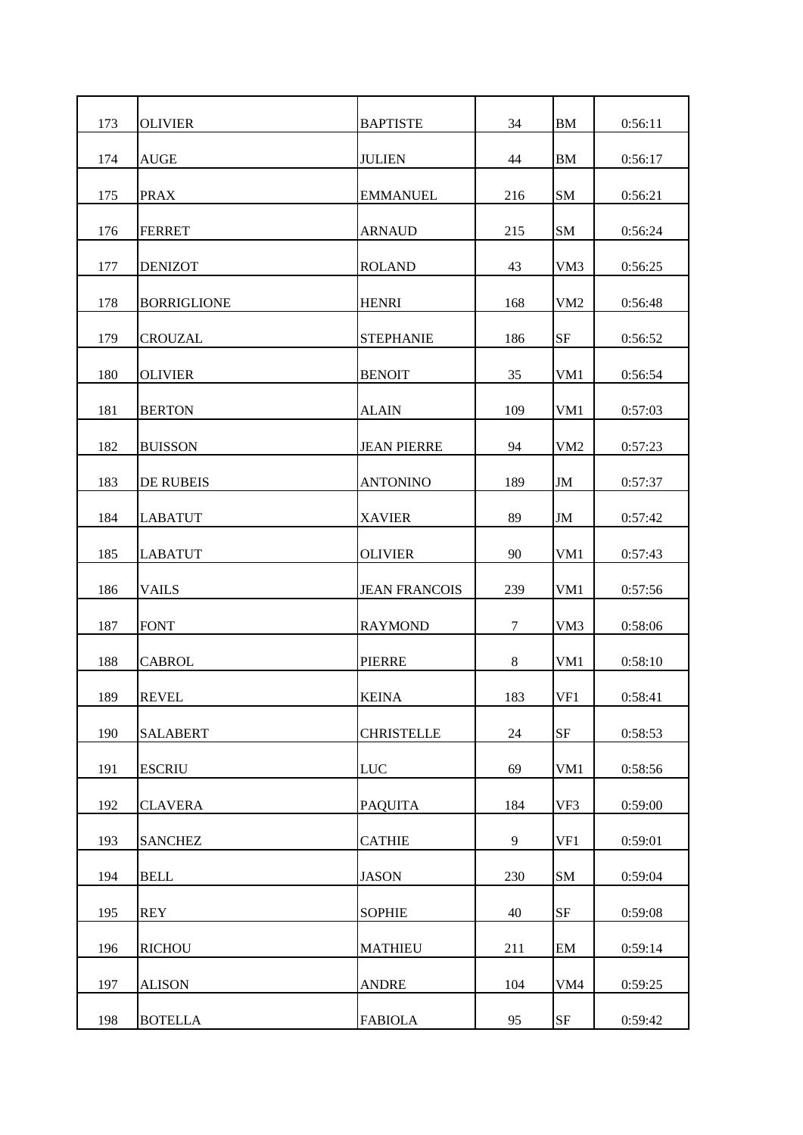| 173 | <b>OLIVIER</b>     | <b>BAPTISTE</b>      | 34  | <b>BM</b>       | 0:56:11 |
|-----|--------------------|----------------------|-----|-----------------|---------|
| 174 | <b>AUGE</b>        | <b>JULIEN</b>        | 44  | <b>BM</b>       | 0:56:17 |
| 175 | <b>PRAX</b>        | <b>EMMANUEL</b>      | 216 | <b>SM</b>       | 0:56:21 |
| 176 | <b>FERRET</b>      | <b>ARNAUD</b>        | 215 | <b>SM</b>       | 0:56:24 |
| 177 | <b>DENIZOT</b>     | <b>ROLAND</b>        | 43  | VM3             | 0:56:25 |
| 178 | <b>BORRIGLIONE</b> | <b>HENRI</b>         | 168 | VM <sub>2</sub> | 0:56:48 |
| 179 | <b>CROUZAL</b>     | <b>STEPHANIE</b>     | 186 | <b>SF</b>       | 0:56:52 |
| 180 | <b>OLIVIER</b>     | <b>BENOIT</b>        | 35  | VM1             | 0:56:54 |
| 181 | <b>BERTON</b>      | <b>ALAIN</b>         | 109 | VM1             | 0:57:03 |
| 182 | <b>BUISSON</b>     | <b>JEAN PIERRE</b>   | 94  | VM <sub>2</sub> | 0:57:23 |
| 183 | <b>DE RUBEIS</b>   | <b>ANTONINO</b>      | 189 | $\mathbf{JM}$   | 0:57:37 |
| 184 | <b>LABATUT</b>     | <b>XAVIER</b>        | 89  | $\mathbf{JM}$   | 0:57:42 |
| 185 | <b>LABATUT</b>     | <b>OLIVIER</b>       | 90  | VM1             | 0:57:43 |
| 186 | <b>VAILS</b>       | <b>JEAN FRANCOIS</b> | 239 | VM1             | 0:57:56 |
| 187 | <b>FONT</b>        | <b>RAYMOND</b>       | 7   | VM3             | 0:58:06 |
| 188 | <b>CABROL</b>      | <b>PIERRE</b>        | 8   | VM1             | 0:58:10 |
| 189 | <b>REVEL</b>       | <b>KEINA</b>         | 183 | VF1             | 0:58:41 |
| 190 | <b>SALABERT</b>    | <b>CHRISTELLE</b>    | 24  | $\rm{SF}$       | 0:58:53 |
| 191 | <b>ESCRIU</b>      | <b>LUC</b>           | 69  | VM1             | 0:58:56 |
| 192 | <b>CLAVERA</b>     | <b>PAQUITA</b>       | 184 | VF3             | 0:59:00 |
| 193 | <b>SANCHEZ</b>     | <b>CATHIE</b>        | 9   | VF1             | 0:59:01 |
| 194 | <b>BELL</b>        | <b>JASON</b>         | 230 | <b>SM</b>       | 0:59:04 |
| 195 | <b>REY</b>         | <b>SOPHIE</b>        | 40  | $\rm{SF}$       | 0:59:08 |
| 196 | <b>RICHOU</b>      | <b>MATHIEU</b>       | 211 | EM              | 0:59:14 |
| 197 | <b>ALISON</b>      | <b>ANDRE</b>         | 104 | VM4             | 0:59:25 |
| 198 | <b>BOTELLA</b>     | <b>FABIOLA</b>       | 95  | $\rm{SF}$       | 0:59:42 |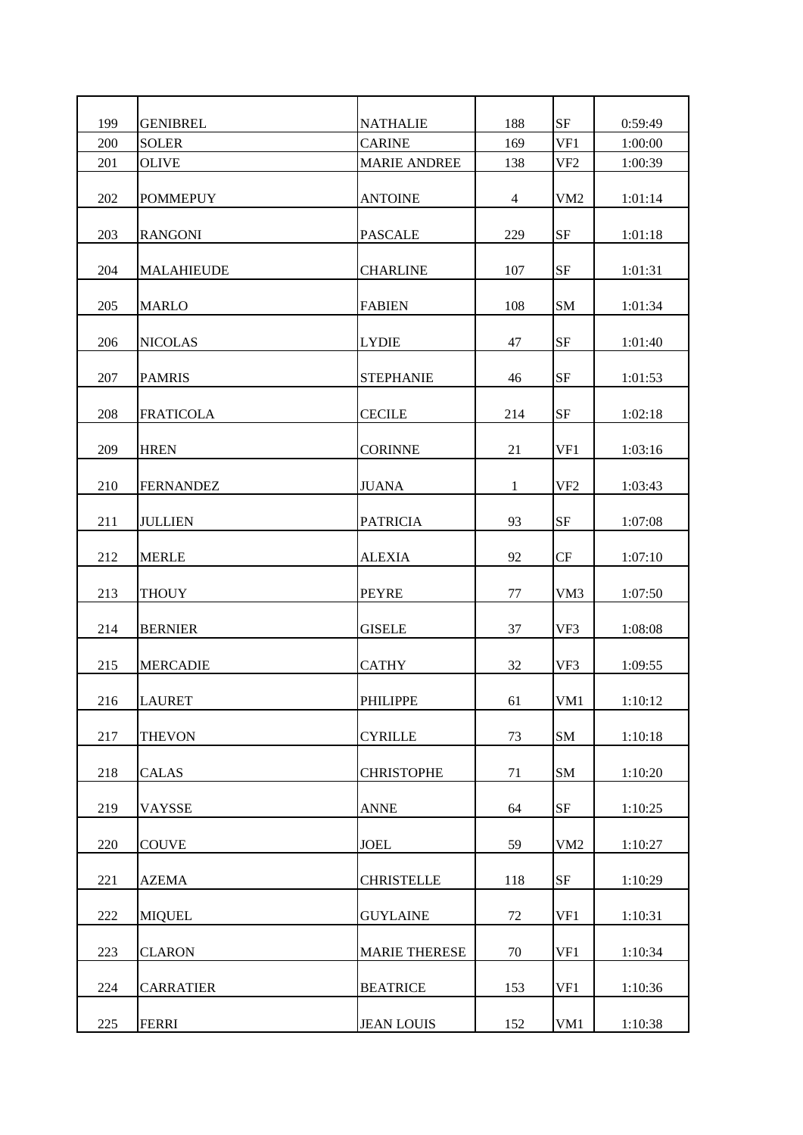| 199 | <b>GENIBREL</b>   | <b>NATHALIE</b>      | 188            | $\rm{SF}$       | 0:59:49 |
|-----|-------------------|----------------------|----------------|-----------------|---------|
| 200 | <b>SOLER</b>      | <b>CARINE</b>        | 169            | VF1             | 1:00:00 |
|     |                   |                      |                |                 |         |
| 201 | <b>OLIVE</b>      | <b>MARIE ANDREE</b>  | 138            | VF <sub>2</sub> | 1:00:39 |
| 202 | <b>POMMEPUY</b>   | <b>ANTOINE</b>       | $\overline{4}$ | VM <sub>2</sub> | 1:01:14 |
| 203 | <b>RANGONI</b>    | <b>PASCALE</b>       | 229            | <b>SF</b>       | 1:01:18 |
| 204 | <b>MALAHIEUDE</b> | <b>CHARLINE</b>      | 107            | <b>SF</b>       | 1:01:31 |
| 205 | <b>MARLO</b>      | <b>FABIEN</b>        | 108            | <b>SM</b>       | 1:01:34 |
| 206 | <b>NICOLAS</b>    | <b>LYDIE</b>         | 47             | <b>SF</b>       | 1:01:40 |
| 207 | <b>PAMRIS</b>     | <b>STEPHANIE</b>     | 46             | <b>SF</b>       | 1:01:53 |
| 208 | <b>FRATICOLA</b>  | <b>CECILE</b>        | 214            | <b>SF</b>       | 1:02:18 |
| 209 | <b>HREN</b>       | <b>CORINNE</b>       | 21             | VF1             | 1:03:16 |
| 210 | <b>FERNANDEZ</b>  | <b>JUANA</b>         | 1              | VF <sub>2</sub> | 1:03:43 |
| 211 | <b>JULLIEN</b>    | <b>PATRICIA</b>      | 93             | <b>SF</b>       | 1:07:08 |
| 212 | <b>MERLE</b>      | <b>ALEXIA</b>        | 92             | CF              | 1:07:10 |
| 213 | <b>THOUY</b>      | <b>PEYRE</b>         | 77             | VM3             | 1:07:50 |
| 214 | <b>BERNIER</b>    | <b>GISELE</b>        | 37             | VF3             | 1:08:08 |
| 215 | <b>MERCADIE</b>   | <b>CATHY</b>         | 32             | VF3             | 1:09:55 |
| 216 | <b>LAURET</b>     | <b>PHILIPPE</b>      | 61             | VM1             | 1:10:12 |
| 217 | <b>THEVON</b>     | <b>CYRILLE</b>       | 73             | SM              | 1:10:18 |
| 218 | <b>CALAS</b>      | <b>CHRISTOPHE</b>    | 71             | <b>SM</b>       | 1:10:20 |
| 219 | VAYSSE            | <b>ANNE</b>          | 64             | $\rm{SF}$       | 1:10:25 |
| 220 | <b>COUVE</b>      | <b>JOEL</b>          | 59             | VM <sub>2</sub> | 1:10:27 |
| 221 | <b>AZEMA</b>      | <b>CHRISTELLE</b>    | 118            | $\rm SF$        | 1:10:29 |
| 222 | <b>MIQUEL</b>     | <b>GUYLAINE</b>      | 72             | VF1             | 1:10:31 |
| 223 | <b>CLARON</b>     | <b>MARIE THERESE</b> | 70             | VF1             | 1:10:34 |
| 224 | <b>CARRATIER</b>  | <b>BEATRICE</b>      | 153            | VF1             | 1:10:36 |
| 225 | <b>FERRI</b>      | <b>JEAN LOUIS</b>    | 152            | VM1             | 1:10:38 |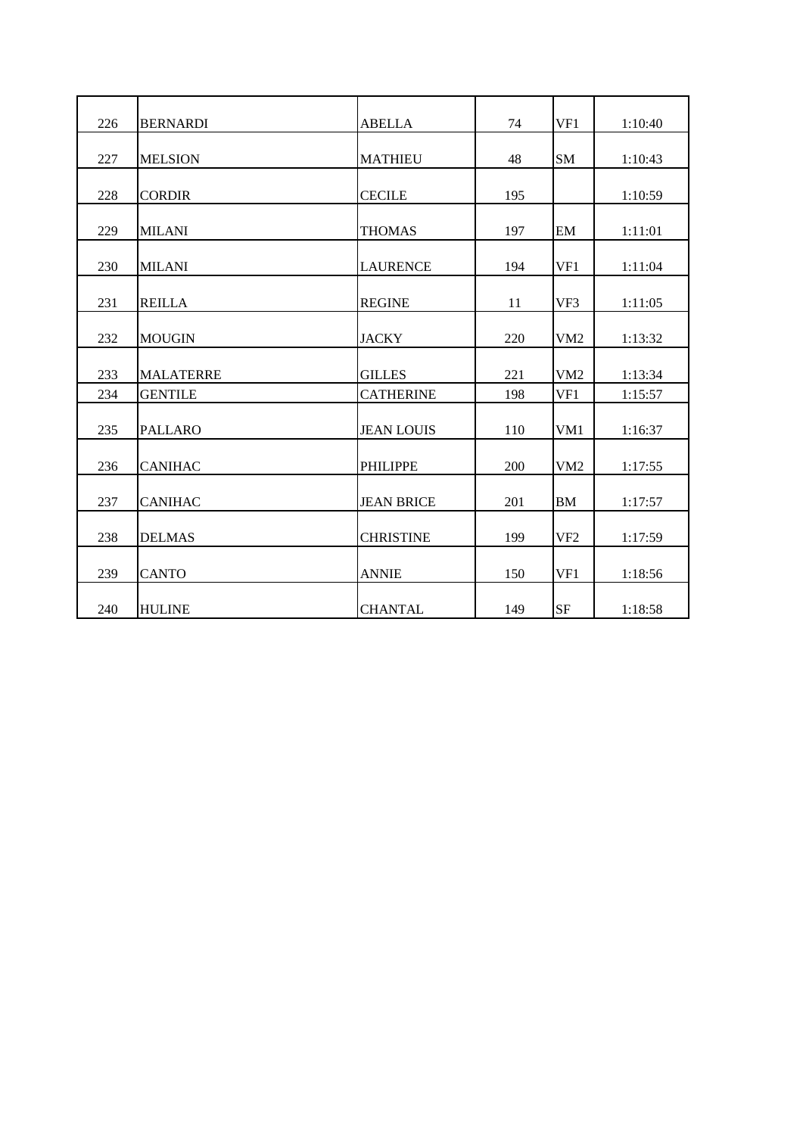| 226 | <b>BERNARDI</b>  | <b>ABELLA</b>     | 74  | VF1             | 1:10:40 |
|-----|------------------|-------------------|-----|-----------------|---------|
| 227 | <b>MELSION</b>   | <b>MATHIEU</b>    | 48  | <b>SM</b>       | 1:10:43 |
| 228 | <b>CORDIR</b>    | <b>CECILE</b>     | 195 |                 | 1:10:59 |
| 229 | <b>MILANI</b>    | <b>THOMAS</b>     | 197 | EM              | 1:11:01 |
| 230 | <b>MILANI</b>    | <b>LAURENCE</b>   | 194 | VF1             | 1:11:04 |
| 231 | <b>REILLA</b>    | <b>REGINE</b>     | 11  | VF3             | 1:11:05 |
| 232 | <b>MOUGIN</b>    | <b>JACKY</b>      | 220 | VM2             | 1:13:32 |
| 233 | <b>MALATERRE</b> | <b>GILLES</b>     | 221 | VM <sub>2</sub> | 1:13:34 |
| 234 | <b>GENTILE</b>   | <b>CATHERINE</b>  | 198 | VF1             | 1:15:57 |
| 235 | <b>PALLARO</b>   | <b>JEAN LOUIS</b> | 110 | VM1             | 1:16:37 |
| 236 | <b>CANIHAC</b>   | <b>PHILIPPE</b>   | 200 | VM2             | 1:17:55 |
| 237 | <b>CANIHAC</b>   | <b>JEAN BRICE</b> | 201 | <b>BM</b>       | 1:17:57 |
| 238 | <b>DELMAS</b>    | <b>CHRISTINE</b>  | 199 | VF <sub>2</sub> | 1:17:59 |
| 239 | <b>CANTO</b>     | <b>ANNIE</b>      | 150 | VF1             | 1:18:56 |
| 240 | <b>HULINE</b>    | <b>CHANTAL</b>    | 149 | <b>SF</b>       | 1:18:58 |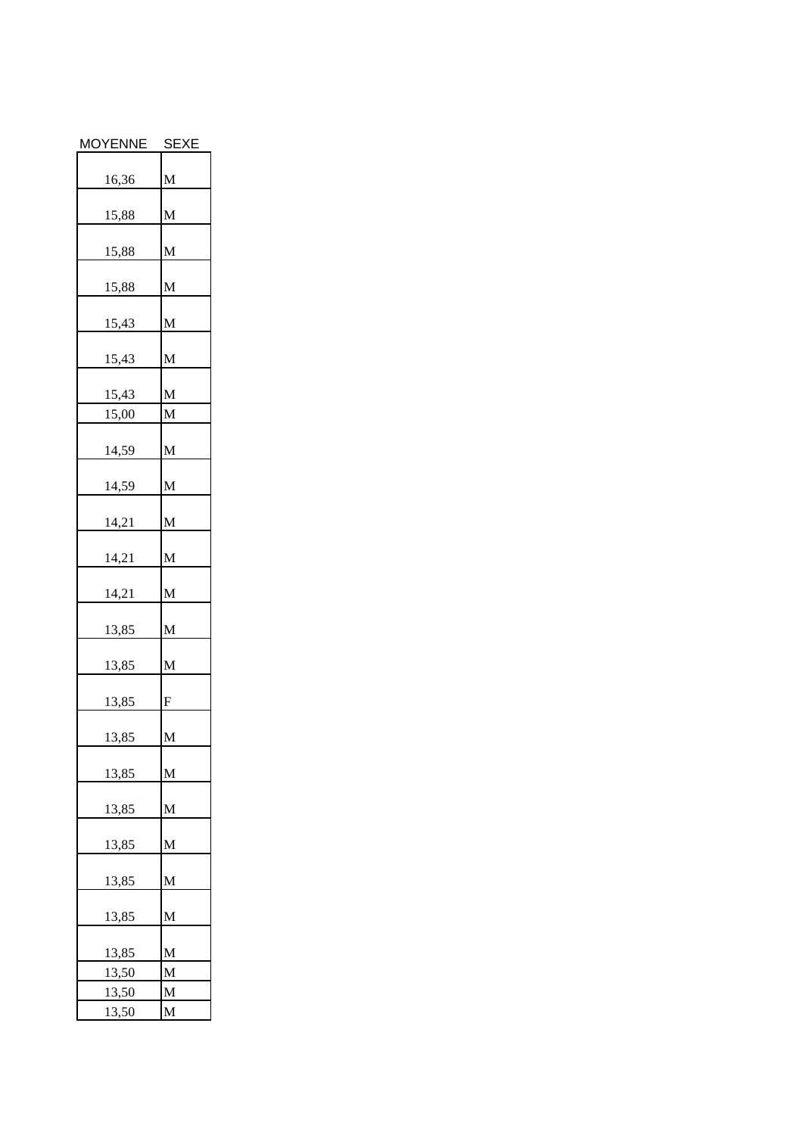| <b>MOYENNE</b> | <b>SEXE</b> |
|----------------|-------------|
| 16,36          | M           |
|                |             |
| 15,88          | M           |
| <u>15,88</u>   | M           |
| 15,88          | M           |
| 15,43          | M           |
| 15,43          | M           |
| 15,43          | M           |
| 15,00          | M           |
|                |             |
| 14,59          | M           |
| 14,59          | M           |
| 14,21          | M           |
| 14,21          | M           |
| 14,21          | M           |
| 13,85          | M           |
| 13,85          | M           |
| 13,85          | ${\bf F}$   |
| 13,85          | M           |
| 13,85          | M           |
| 13,85          | M           |
| 13,85          | M           |
| 13,85          | M           |
| 13,85          | M           |
| 13,85          | M           |
| 13,50          | M           |
| 13,50          | M           |
| 13,50          | M           |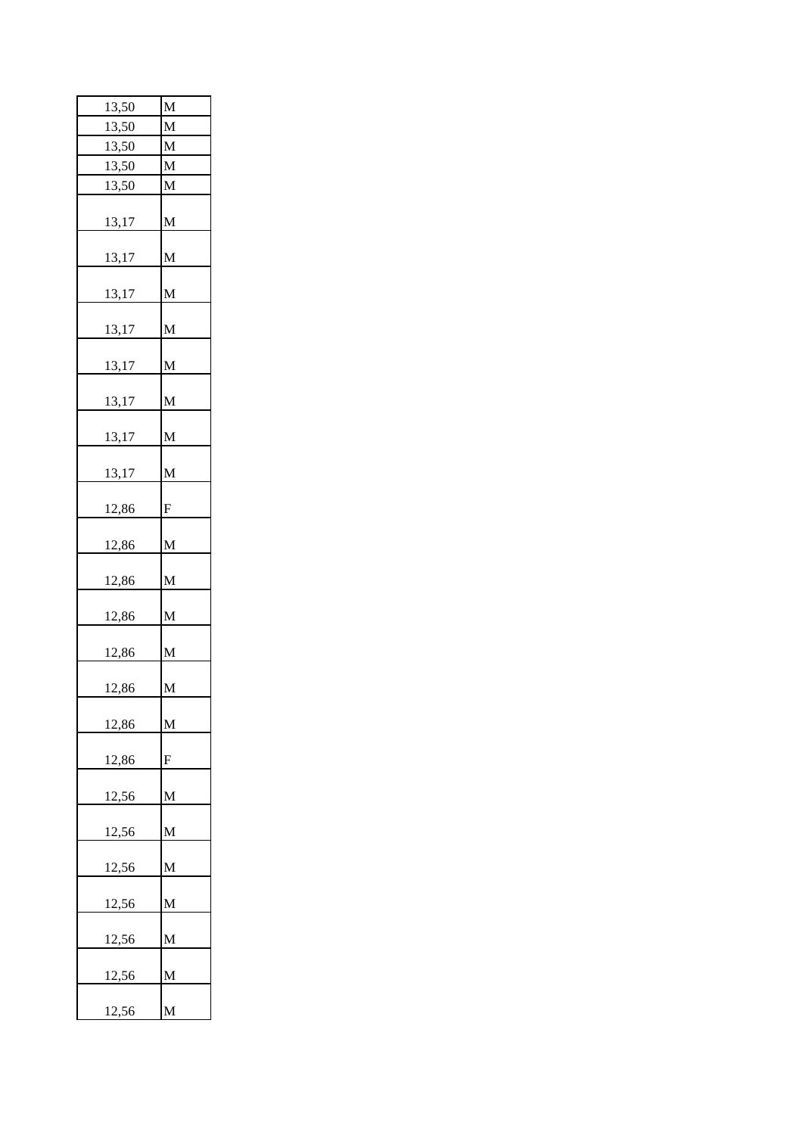| 13,50        | M         |
|--------------|-----------|
| 13,50        | M         |
| 13,50        | M         |
| 13,50        | M         |
| 13,50        | M         |
| 13,17        | M         |
| 13,17        | M         |
| 13,17        | M         |
| 13,17        | M         |
| 13,17        | M         |
| 13,17        | M         |
| 13,17        | M         |
| 13,17        | M         |
| 12,86        | ${\bf F}$ |
| 12,86        | M         |
| 12,86        | M         |
| 12,86        | M         |
| 12,86        | M         |
| 12,86        | M         |
| 12,86        | M         |
| 12,86        | F         |
| 12,56        | M         |
| 12,56        | M         |
| 12,56        | M         |
| 12,56        | M         |
| 12,56        | M         |
| <u>12,56</u> | M         |
| 12,56        | M         |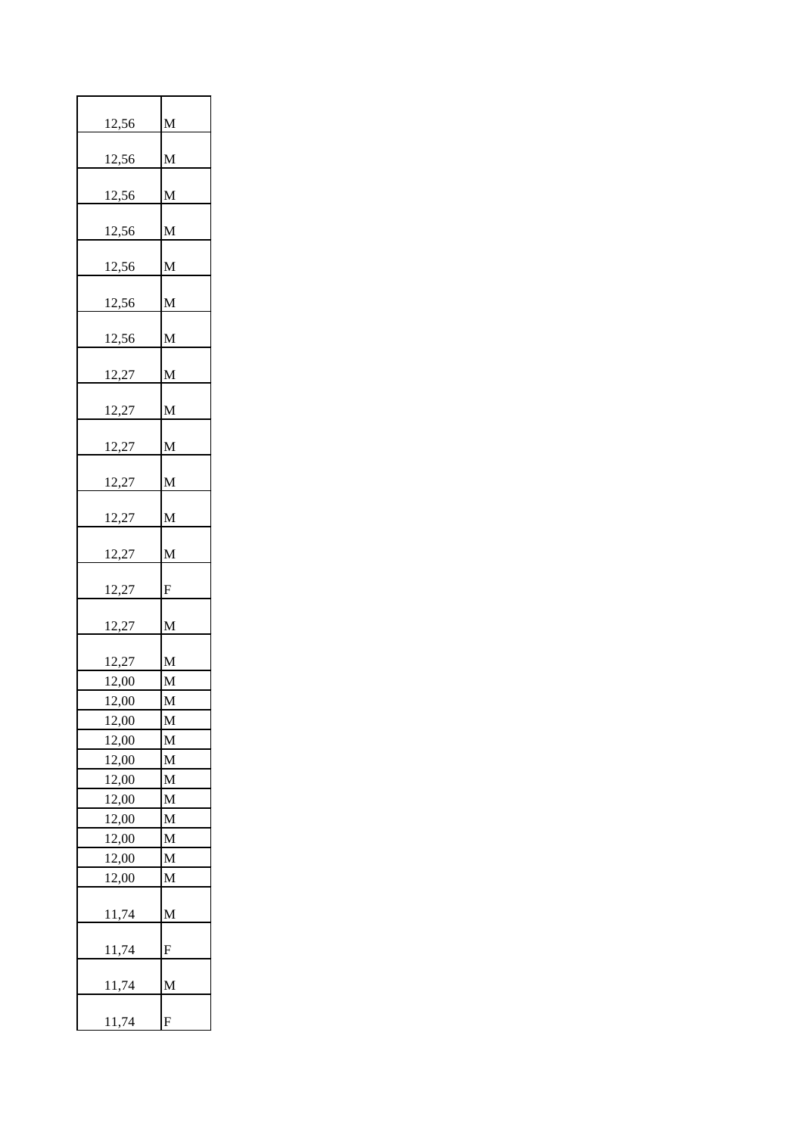| 12,56 | M               |
|-------|-----------------|
| 12,56 | M               |
|       |                 |
| 12,56 | M               |
| 12,56 | M               |
| 12,56 | M               |
| 12,56 | M               |
| 12,56 | M               |
|       |                 |
| 12,27 | M               |
| 12,27 | $\mathbf{M}$    |
| 12,27 | M               |
| 12,27 | M               |
| 12,27 | M               |
| 12,27 | M               |
| 12,27 | F               |
|       |                 |
| 12,27 | M               |
| 12,27 | M               |
| 12,00 | M               |
| 12,00 | $\underline{M}$ |
| 12,00 | M               |
| 12,00 | M               |
| 12,00 | M               |
| 12,00 | M               |
| 12,00 | M               |
| 12,00 | M               |
| 12,00 | M               |
| 12,00 | M               |
| 12,00 | M               |
| 11,74 | M               |
| 11,74 | F               |
| 11,74 | M               |
| 11,74 | F               |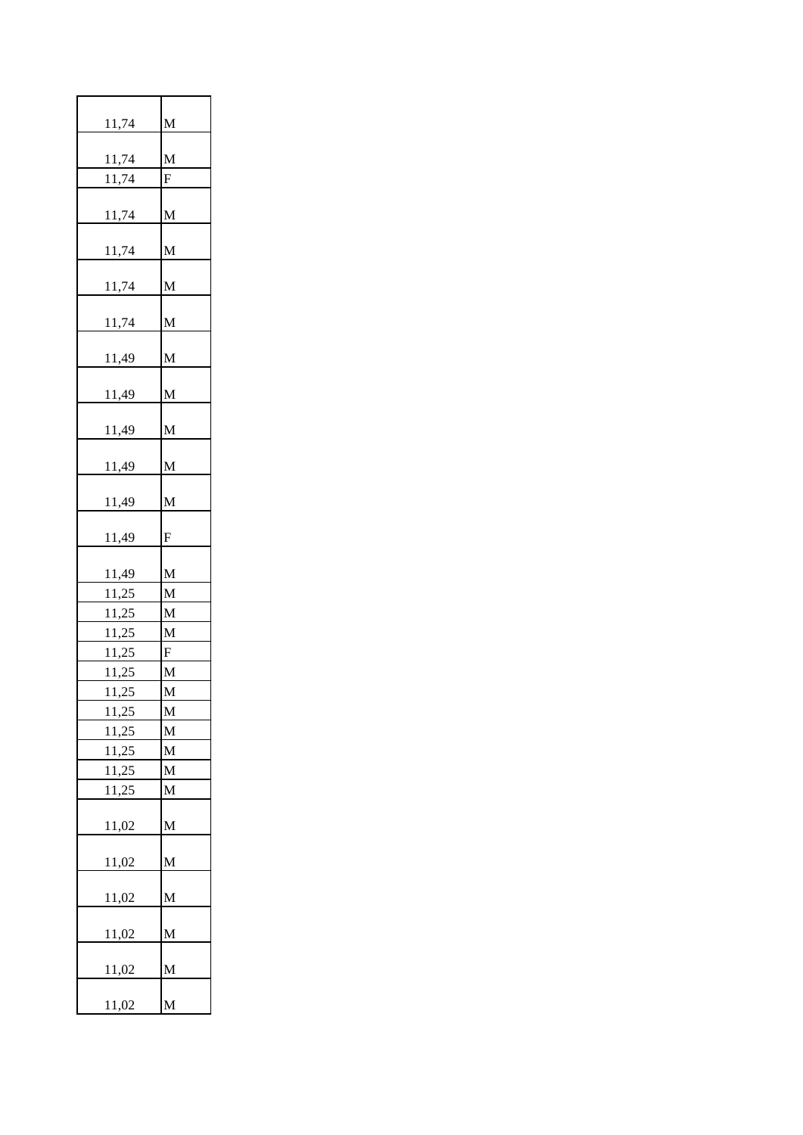| 11,74        | M |
|--------------|---|
| 11,74        | M |
| 11,74        | F |
|              |   |
| 11,74        | M |
| 11,74        | M |
| 11,74        | M |
| 11,74        | M |
| 11,49        | M |
|              |   |
| <u>11,49</u> | M |
| <u>11,49</u> | M |
| 11,49        | M |
|              |   |
| 11,49        | M |
| 11,49        | F |
|              |   |
| 11,49        | M |
| 11,25        | M |
| 11,25        | M |
| 11,25        | M |
| 11,25        | F |
| 11,25        | M |
| 11,25        | M |
| 11,25        | M |
| 11,25        | M |
| 11,25        | M |
| 11,25        | M |
| 11,25        | M |
| <u>11,02</u> | M |
| 11,02        | M |
|              | M |
| 11,02        |   |
| 11,02        | M |
| 11,02        | M |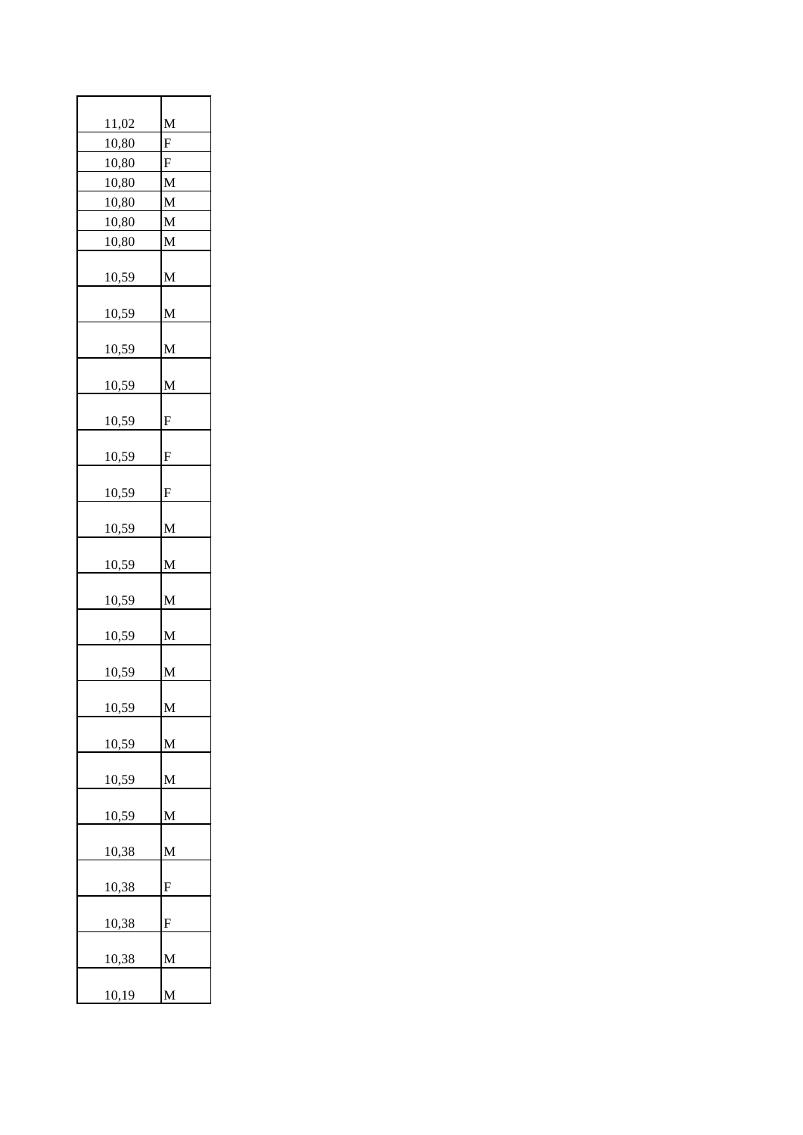| 11,02 | M |
|-------|---|
| 10,80 | F |
| 10,80 | F |
| 10,80 | M |
| 10,80 | M |
| 10,80 | M |
| 10,80 | M |
| 10,59 | M |
| 10,59 | M |
| 10,59 | M |
| 10,59 | M |
| 10,59 | F |
| 10,59 | F |
| 10,59 | F |
| 10,59 | M |
| 10,59 | M |
| 10,59 | M |
| 10,59 | M |
| 10,59 | M |
| 10,59 | M |
| 10,59 | M |
| 10,59 | M |
| 10,59 | M |
| 10,38 | M |
| 10,38 | F |
| 10,38 | F |
| 10,38 | M |
| 10,19 | M |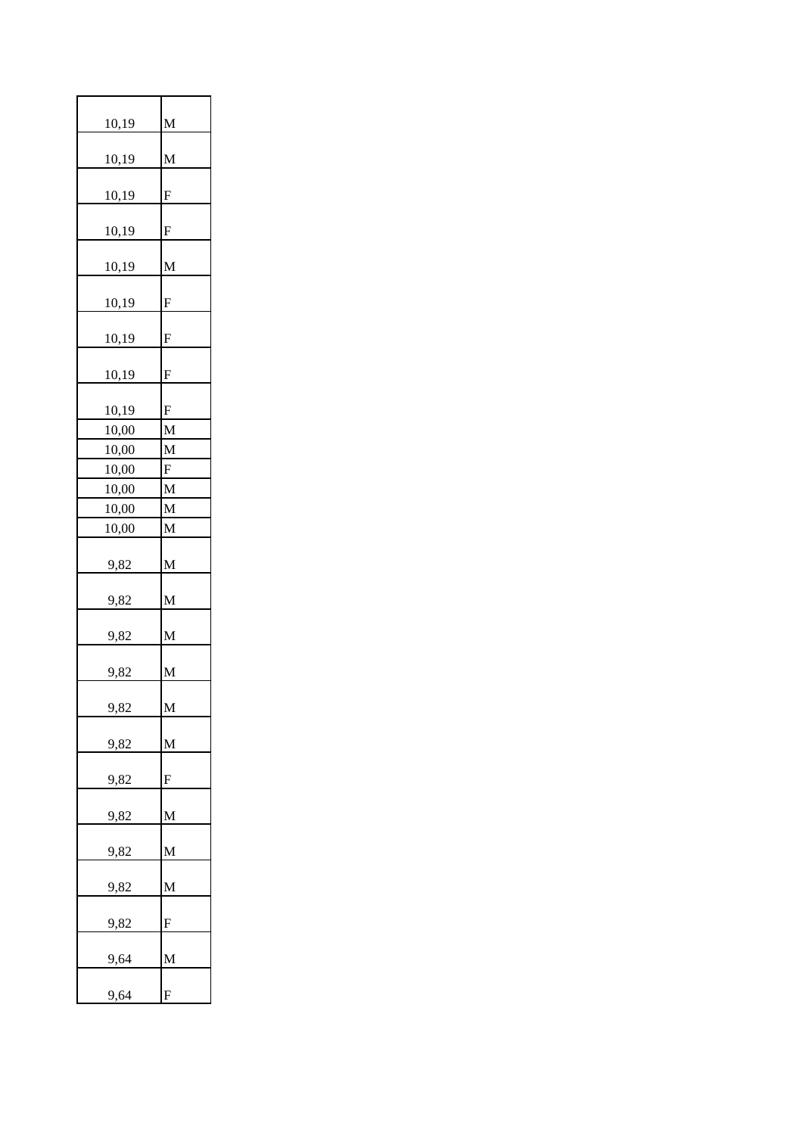| 10,19       | M |
|-------------|---|
| 10,19       | M |
| 10,19       | F |
| 10,19       | F |
| 10,19       | M |
| 10,19       | F |
| 10,19       | F |
| 10,19       | F |
| 10,19       | F |
| 10,00       | M |
| 10,00       | M |
| 10,00       | F |
| 10,00       | M |
| 10,00       | M |
| 10,00       | M |
|             |   |
| 9,82        | M |
| 9,82        | M |
| 9,82        | M |
| 9,82        | M |
| 9,82        | M |
| 9,82        | M |
| 9,82        | F |
| 9,82        | M |
| 9,82        | M |
| 9,82        | M |
| <u>9,82</u> | F |
| 9,64        | M |
| 9,64        | F |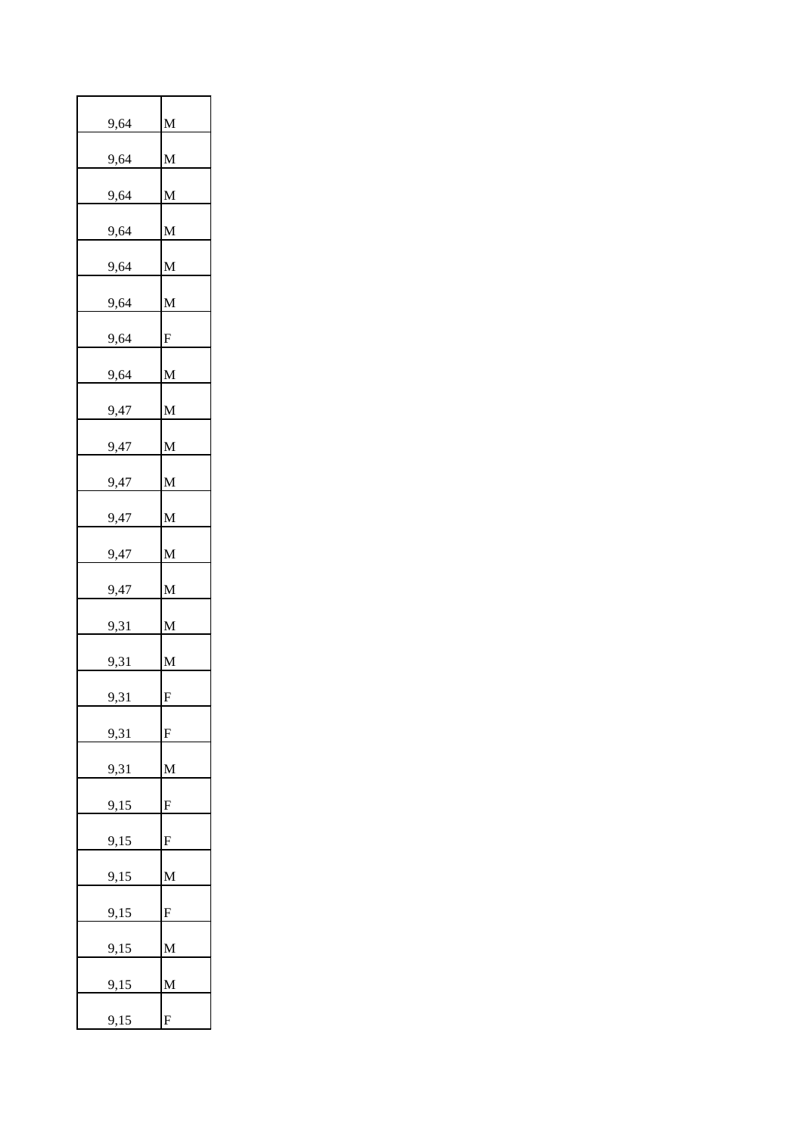| 9,64        | M               |
|-------------|-----------------|
|             |                 |
| 9,64        | M               |
| <u>9,64</u> | M               |
| 9,64        | M               |
| 9,64        | M               |
| 9,64        | M               |
| <u>9,64</u> | ${\bf F}$       |
| 9,64        | M               |
| <u>9,47</u> | M               |
| 9,47        | M               |
| 9,47        | M               |
| 9,47        | M               |
| 9,47        | M               |
| 9,47        | M               |
| 9,31        | M               |
| <u>9,31</u> | M               |
| 9,31        | F               |
| 9,31        | ${\rm F}$       |
| 9,31        | $\mathbf{M}$    |
| 9,15        | F               |
| 9,15        | ${\bf F}$       |
| 9,15        | M               |
| 9,15        | ${\rm F}$       |
|             | $\mathbf M$     |
| 9,15        |                 |
| 9,15        | $\underline{M}$ |
| 9,15        | ${\bf F}$       |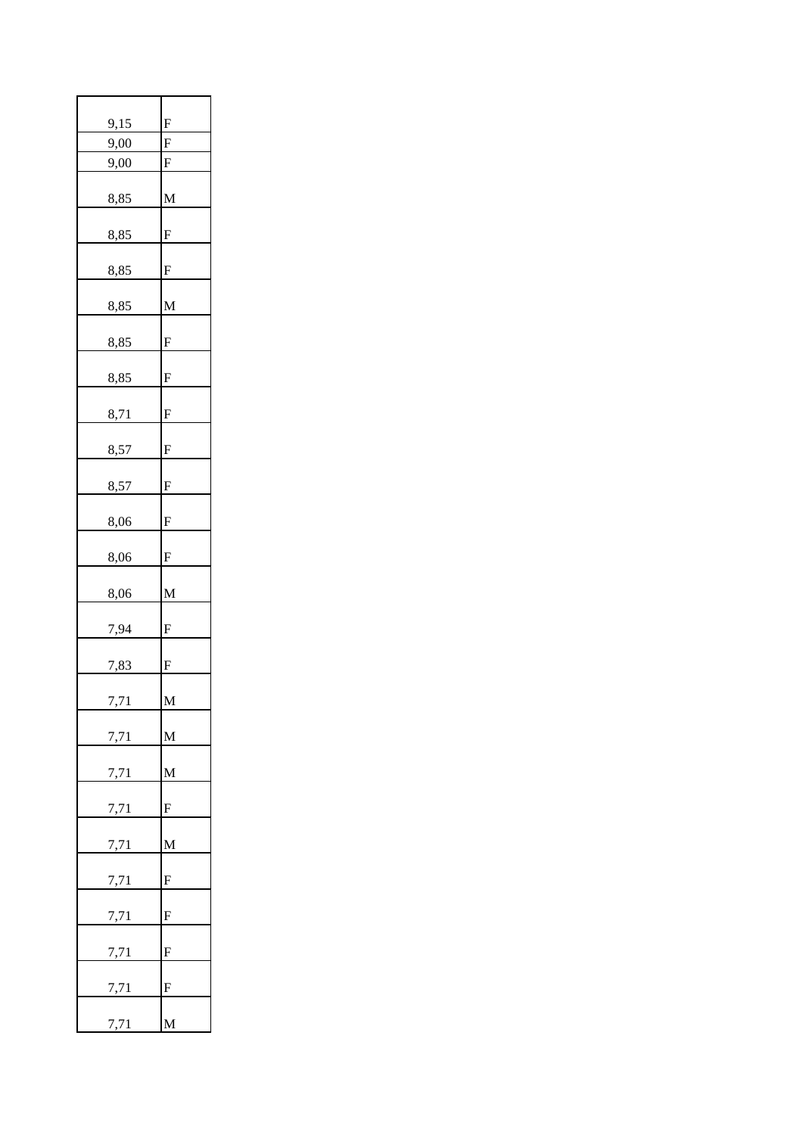| 9,15 | F                         |
|------|---------------------------|
| 9,00 | F                         |
| 9,00 | ${\bf F}$                 |
| 8,85 | M                         |
| 8,85 | $\mathbf F$               |
| 8,85 | F                         |
| 8,85 | M                         |
| 8,85 | F                         |
| 8,85 | $\mathbf F$               |
| 8,71 | F                         |
| 8,57 | F                         |
| 8,57 | ${\bf F}$                 |
| 8,06 | ${\bf F}$                 |
| 8,06 | $\boldsymbol{\mathrm{F}}$ |
| 8,06 | M                         |
| 7,94 | F                         |
| 7,83 | F                         |
| 7,71 | $\underline{\mathbf{M}}$  |
| 7,71 | $M_{\odot}$               |
| 7,71 | $\overline{\mathbf{M}}$   |
| 7,71 | $F_{\perp}$               |
| 7,71 | $M_{\odot}$               |
| 7,71 | $F_{\perp}$               |
| 7,71 | ${\bf F}$                 |
| 7,71 | $\mathbf{F}$              |
| 7,71 | $\mathbf{F}$              |
| 7,71 | M                         |